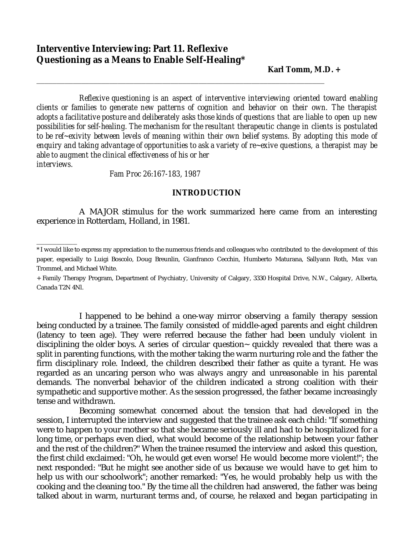# **Interventive Interviewing: Part 11. Reflexive Questioning as a Means to Enable Self-Healing\***

#### **Karl Tomm, M.D. +**

*Reflexive questioning is an aspect of interventive interviewing oriented toward enabling clients or families to generate new patterns of cognition and behavior on their own. The therapist adopts a facilitative posture and deliberately asks those kinds of questions that are liable to open up new possibilities for self-healing. The mechanism for the resultant therapeutic change in clients is postulated to be ref~exivity between levels of meaning within their own belief systems. By adopting this mode of enquiry and taking advantage of opportunities to ask a variety of re~exive questions, a therapist may be able to augment the clinical effectiveness of his or her interviews.*

\_\_\_\_\_\_\_\_\_\_\_\_\_\_\_\_\_\_\_\_\_\_\_\_\_\_\_\_\_\_\_\_\_\_\_\_\_\_\_\_\_\_\_\_\_\_\_\_\_\_\_\_\_\_\_\_\_\_\_\_\_\_\_\_\_\_\_\_\_\_\_

*Fam Proc 26:167-183, 1987*

 $\overline{\phantom{a}}$  ,  $\overline{\phantom{a}}$  ,  $\overline{\phantom{a}}$  ,  $\overline{\phantom{a}}$  ,  $\overline{\phantom{a}}$  ,  $\overline{\phantom{a}}$  ,  $\overline{\phantom{a}}$  ,  $\overline{\phantom{a}}$  ,  $\overline{\phantom{a}}$  ,  $\overline{\phantom{a}}$  ,  $\overline{\phantom{a}}$  ,  $\overline{\phantom{a}}$  ,  $\overline{\phantom{a}}$  ,  $\overline{\phantom{a}}$  ,  $\overline{\phantom{a}}$  ,  $\overline{\phantom{a}}$ 

#### **INTRODUCTION**

A MAJOR stimulus for the work summarized here came from an interesting experience in Rotterdam, Holland, in 1981.

+ Family Therapy Program, Department of Psychiatry, University of Calgary, 3330 Hospital Drive, N.W., Calgary, Alberta, Canada T2N 4Nl.

I happened to be behind a one-way mirror observing a family therapy session being conducted by a trainee. The family consisted of middle-aged parents and eight children (latency to teen age). They were referred because the father had been unduly violent in disciplining the older boys. A series of circular question~ quickly revealed that there was a split in parenting functions, with the mother taking the warm nurturing role and the father the firm disciplinary role. Indeed, the children described their father as quite a tyrant. He was regarded as an uncaring person who was always angry and unreasonable in his parental demands. The nonverbal behavior of the children indicated a strong coalition with their sympathetic and supportive mother. As the session progressed, the father became increasingly tense and withdrawn.

Becoming somewhat concerned about the tension that had developed in the session, I interrupted the interview and suggested that the trainee ask each child: "If something were to happen to your mother so that she became seriously ill and had to be hospitalized for a long time, or perhaps even died, what would become of the relationship between your father and the rest of the children?" When the trainee resumed the interview and asked this question, the first child exclaimed: "Oh, he would get even worse! He would become more violent!"; the next responded: "But he might see another side of us because we would have to get him to help us with our schoolwork"; another remarked: "Yes, he would probably help us with the cooking and the cleaning too." By the time all the children had answered, the father was being talked about in warm, nurturant terms and, of course, he relaxed and began participating in

<sup>\*</sup> I would like to express my appreciation to the numerous friends and colleagues who contributed to the development of this paper, especially to Luigi Boscolo, Doug Breunlin, Gianfranco Cecchin, Humberto Maturana, Sallyann Roth, Max van Trommel, and Michael White.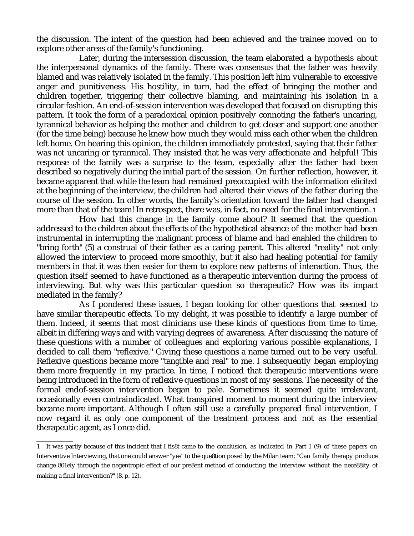the discussion. The intent of the question had been achieved and the trainee moved on to explore other areas of the family's functioning.

Later, during the intersession discussion, the team elaborated a hypothesis about the interpersonal dynamics of the family. There was consensus that the father was heavily blamed and was relatively isolated in the family. This position left him vulnerable to excessive anger and punitiveness. His hostility, in turn, had the effect of bringing the mother and children together, triggering their collective blaming, and maintaining his isolation in a circular fashion. An end-of-session intervention was developed that focused on disrupting this pattern. It took the form of a paradoxical opinion positively connoting the father's uncaring, tyrannical behavior as helping the mother and children to get closer and support one another (for the time being) because he knew how much they would miss each other when the children left home. On hearing this opinion, the children immediately protested, saying that their father was *not* uncaring or tyrannical. They insisted that he was very affectionate and helpful! This response of the family was a surprise to the team, especially after the father had been described so negatively during the initial part of the session. On further reflection, however, it became apparent that while the team had remained preoccupied with the information elicited at the beginning of the interview, the children had altered their views of the father during the course of the session. In other words, the family's orientation toward the father had changed more than that of the team! In retrospect, there was, in fact, no need for the final intervention. 1

How had this change in the family come about? It seemed that the question addressed to the children about the effects of the hypothetical absence of the mother had been instrumental in interrupting the malignant process of blame and had enabled the children to "bring forth" (5) a construal of their father as a caring parent. This altered "reality" not only allowed the interview to proceed more smoothly, but it also had healing potential for family members in that it was then easier for them to explore new patterns of interaction. Thus, the question itself seemed to have functioned as a therapeutic intervention during the process of interviewing. But why was this particular question so therapeutic? How was its impact mediated in the family?

As I pondered these issues, I began looking for other questions that seemed to have similar therapeutic effects. To my delight, it was possible to identify a large number of them. Indeed, it seems that most clinicians use these kinds of questions from time to time, albeit in differing ways and with varying degrees of awareness. After discussing the nature of these questions with a number of colleagues and exploring various possible explanations, I decided to call them "reflexive." Giving these questions a name turned out to be very useful. Reflexive questions became more "tangible and real" to me. I subsequently began employing them more frequently in my practice. In time, I noticed that therapeutic interventions were being introduced in the form of reflexive questions in most of my sessions. The necessity of the formal endof-session intervention began to pale. Sometimes it seemed quite irrelevant, occasionally even contraindicated. What transpired moment to moment during the interview became more important. Although I often still use a carefully prepared final intervention, I now regard it as only one component of the treatment process and not as the essential therapeutic agent, as I once did.

 $\overline{\phantom{a}}$  . The set of  $\overline{\phantom{a}}$ 

<sup>1</sup> It was partly because of this incident that I fis8t came to the conclusion, as indicated in Part I (9) of these papers on Interventive Interviewing, that one could answer "yes" to the que8tion posed by the Milan team: "Can family therapy produce change 801ely through the negentropic effect of our pre8ent method of conducting the interview without the nece88ity of making a final intervention?" (8, p. 12).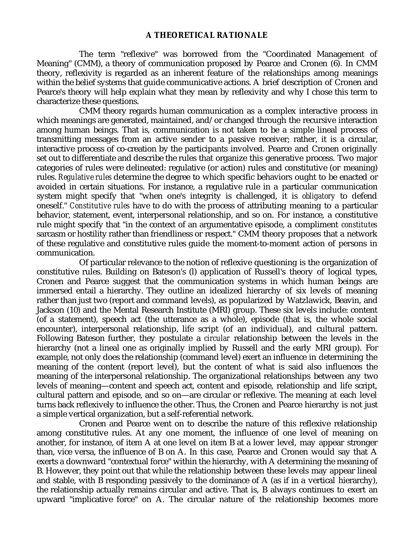The term "reflexive" was borrowed from the "Coordinated Management of Meaning" (CMM), a theory of communication proposed by Pearce and Cronen (6). In CMM theory, reflexivity is regarded as an inherent feature of the relationships among meanings within the belief systems that guide communicative actions. A brief description of Cronen and Pearce's theory will help explain what they mean by reflexivity and why I chose this term to characterize these questions.

CMM theory regards human communication as a complex interactive process in which meanings are generated, maintained, and/or changed through the recursive interaction among human beings. That is, communication is not taken to be a simple lineal process of transmitting messages from an active sender to a passive receiver; rather, it is a circular, interactive process of co-creation by the participants involved. Pearce and Cronen originally set out to differentiate and describe the rules that organize this generative process. Two major categories of rules were delineated: regulative (or action) rules and constitutive (or meaning) rules. *Regulative rules* determine the degree to which specific behaviors ought to be enacted or avoided in certain situations. For instance, a regulative rule in a particular communication system might specify that "when one's integrity is challenged, it is *obligatory* to defend oneself." *Constitutive rules* have to do with the process of attributing meaning to a particular behavior, statement, event, interpersonal relationship, and so on. For instance, a constitutive rule might specify that "in the context of an argumentative episode, a compliment *constitutes* sarcasm or hostility rather than friendliness or respect." CMM theory proposes that a network of these regulative and constitutive rules guide the moment-to-moment action of persons in communication.

Of particular relevance to the notion of reflexive questioning is the organization of constitutive rules. Building on Bateson's (l) application of Russell's theory of logical types, Cronen and Pearce suggest that the communication systems in which human beings are immersed entail a hierarchy. They outline an idealized hierarchy of six levels of meaning rather than just two (report and command levels), as popularized by Watzlawick, Beavin, and Jackson (10) and the Mental Research Institute (MRI) group. These six levels include: content (of a statement), speech act (the utterance as a whole), episode (that is, the whole social encounter), interpersonal relationship, life script (of an individual), and cultural pattern. Following Bateson further, they postulate a *circular* relationship between the levels in the hierarchy (not a lineal one as originally implied by Russell and the early MRI group). For example, not only does the relationship (command level) exert an influence in determining the meaning of the content (report level), but the content of what is said also influences the meaning of the interpersonal relationship. The organizational relationships between any two levels of meaning—content and speech act, content and episode, relationship and life script, cultural pattern and episode, and so on—are circular or reflexive. The meaning at each level turns back reflexively to influence the other. Thus, the Cronen and Pearce hierarchy is not just a simple vertical organization, but a self-referential network.

Cronen and Pearce went on to describe the nature of this reflexive relationship among constitutive rules. At any one moment, the influence of one level of meaning on another, for instance, of item A at one level on item B at a lower level, may appear stronger than, vice versa, the influence of B on A. In this case, Pearce and Cronen would say that A exerts a downward "contextual force" within the hierarchy, with A determining the meaning of B. However, they point out that while the relationship between these levels may appear lineal and stable, with B responding passively to the dominance of A (as if in a vertical hierarchy), the relationship actually remains circular and active. That is, B always continues to exert an upward "implicative force" on A. The circular nature of the relationship becomes more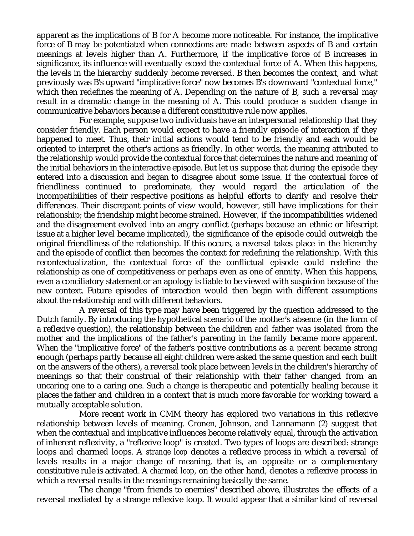apparent as the implications of B for A become more noticeable. For instance, the implicative force of B may be potentiated when connections are made between aspects of B and certain meanings at levels higher than A. Furthermore, if the implicative force of B increases in significance, its influence will eventually *exceed* the contextual force of A. When this happens, the levels in the hierarchy suddenly become reversed. B then becomes the context, and what previously was B's upward "implicative force" now becomes B's downward "contextual force," which then redefines the meaning of A. Depending on the nature of B, such a reversal may result in a dramatic change in the meaning of A. This could produce a sudden change in communicative behaviors because a different constitutive rule now applies.

For example, suppose two individuals have an interpersonal relationship that they consider friendly. Each person would expect to have a friendly episode of interaction if they happened to meet. Thus, their initial actions would tend to be friendly and each would be oriented to interpret the other's actions as friendly. In other words, the meaning attributed to the relationship would provide the contextual force that determines the nature and meaning of the initial behaviors in the interactive episode. But let us suppose that during the episode they entered into a discussion and began to disagree about some issue. If the contextual force of friendliness continued to predominate, they would regard the articulation of the incompatibilities of their respective positions as helpful efforts to clarify and resolve their differences. Their discrepant points of view would, however, still have implications for their relationship; the friendship might become strained. However, if the incompatibilities widened and the disagreement evolved into an angry conflict (perhaps because an ethnic or lifescript issue at a higher level became implicated), the significance of the episode could outweigh the original friendliness of the relationship. If this occurs, a reversal takes place in the hierarchy and the episode of conflict then becomes the context for redefining the relationship. With this recontextualization, the contextual force of the conflictual episode could redefine the relationship as one of competitiveness or perhaps even as one of enmity. When this happens, even a conciliatory statement or an apology is liable to be viewed with suspicion because of the new context. Future episodes of interaction would then begin with different assumptions about the relationship and with different behaviors.

A reversal of this type may have been triggered by the question addressed to the Dutch family. By introducing the hypothetical scenario of the mother's absence (in the form of a reflexive question), the relationship between the children and father was isolated from the mother and the implications of the father's parenting in the family became more apparent. When the "implicative force" of the father's positive contributions as a parent became strong enough (perhaps partly because all eight children were asked the same question and each built on the answers of the others), a reversal took place between levels in the children's hierarchy of meanings so that their construal of their relationship with their father changed from an uncaring one to a caring one. Such a change is therapeutic and potentially healing because it places the father and children in a context that is much more favorable for working toward a mutually acceptable solution.

More recent work in CMM theory has explored two variations in this reflexive relationship between levels of meaning. Cronen, Johnson, and Lannamann (2) suggest that when the contextual and implicative influences become relatively equal, through the activation of inherent reflexivity, a "reflexive loop" is created. Two types of loops are described: strange loops and charmed loops. A *strange loop* denotes a reflexive process in which a reversal of levels results in a major change of meaning, that is, an opposite or a complementary constitutive rule is activated. A *charmed loop*, on the other hand, denotes a reflexive process in which a reversal results in the meanings remaining basically the same.

The change "from friends to enemies" described above, illustrates the effects of a reversal mediated by a strange reflexive loop. It would appear that a similar kind of reversal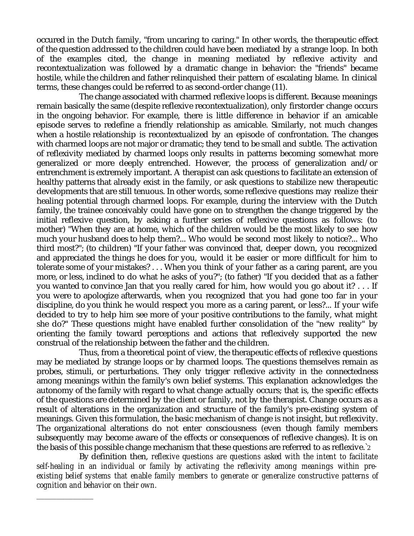occured in the Dutch family, "from uncaring to caring." In other words, the therapeutic effect of the question addressed to the children could have been mediated by a strange loop. In both of the examples cited, the change in meaning mediated by reflexive activity and recontextualization was followed by a dramatic change in behavior: the "friends" became hostile, while the children and father relinquished their pattern of escalating blame. In clinical terms, these changes could be referred to as second-order change (11).

The change associated with charmed reflexive loops is different. Because meanings remain basically the same (despite reflexive recontextualization), only firstorder change occurs in the ongoing behavior. For example, there is little difference in behavior if an amicable episode serves to redefine a friendly relationship as amicable. Similarly, not much changes when a hostile relationship is recontextualized by an episode of confrontation. The changes with charmed loops are not major or dramatic; they tend to be small and subtle. The activation of reflexivity mediated by charmed loops only results in patterns becoming somewhat more generalized or more deeply entrenched. However, the process of generalization and/or entrenchment is extremely important. A therapist can ask questions to facilitate an extension of healthy patterns that already exist in the family, or ask questions to stabilize new therapeutic developments that are still tenuous. In other words, some reflexive questions may realize their healing potential through charmed loops. For example, during the interview with the Dutch family, the trainee conceivably could have gone on to strengthen the change triggered by the initial reflexive question, by asking a further series of reflexive questions as follows: (to mother) "When they are at home, which of the children would be the most likely to see how much your husband does to help them?... Who would be second most likely to notice?... Who third most?"; (to children) "If your father was convinced that, deeper down, you recognized and appreciated the things he does for you, would it be easier or more diflficult for him to tolerate some of your mistakes? . . . When you think of your father as a caring parent, are you more, or less, inclined to do what he asks of you?"; (to father) "If you decided that as a father you wanted to convince Jan that you really cared for him, how would you go about it? . . . If you were to apologize afterwards, when you recognized that you had gone too far in your discipline, do you think he would respect you more as a caring parent, or less?... If your wife decided to try to help him see more of your positive contributions to the family, what might she do?" These questions might have enabled further consolidation of the "new reality" by orienting the family toward perceptions and actions that reflexively supported the new construal of the relationship between the father and the children.

Thus, from a theoretical point of view, the therapeutic effects of reflexive questions may be mediated by strange loops or by charmed loops. The questions themselves remain as probes, stimuli, or perturbations. They only trigger reflexive activity in the connectedness among meanings within the family's own belief systems. This explanation acknowledges the autonomy of the family with regard to what change actually occurs; that is, the specific effects of the questions are determined by the client or family, not by the therapist. Change occurs as a result of alterations in the organization and structure of the family's pre-existing system of meanings. Given this formulation, the basic mechanism of change is not insight, but reflexivity. The organizational alterations do not enter consciousness (even though family members subsequently may become aware of the effects or consequences of reflexive changes). It is on the basis of this possible change mechanism that these questions are referred to as reflexive.`2

By definition then, *reflexive questions are questions asked with the intent to facilitate self-healing in an individual or family by activating the reflexivity among meanings within preexisting belief systems that enable family members to generate or generalize constructive patterns of cognition and behavior on their own.*

\_\_\_\_\_\_\_\_\_\_\_\_\_\_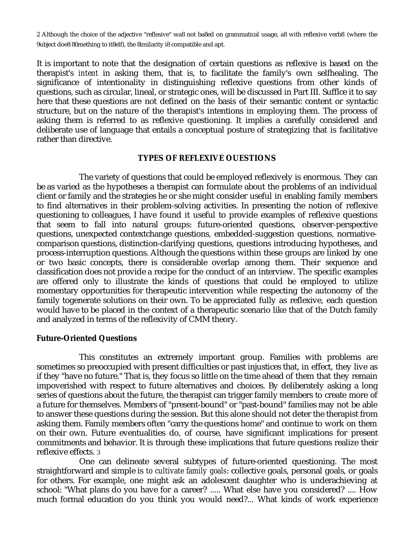2 Although the choice of the adjective "reflesive" wa8 not ba8ed on grammatical usage, a8 with reflexive verb8 (where the 9ubject doe8 80mething to it8elf), the 8imilarity i8 compatible and apt.

It is important to note that the designation of certain questions as reflexive is based on the therapist's *intent* in asking them, that is, to facilitate the family's own selfhealing. The significance of intentionality in distinguishing reflexive questions from other kinds of questions, such as circular, lineal, or strategic ones, will be discussed in Part III. Sufflce it to say here that these questions are not defined on the basis of their semantic content or syntactic structure, but on the nature of the therapist's intentions in employing them. The process of asking them is referred to as reflexive questioning. It implies a carefully considered and deliberate use of language that entails a conceptual posture of strategizing that is facilitative rather than directive.

#### **TYPES OF REFLEXIVE OUESTIONS**

The variety of questions that could be employed reflexively is enormous. They can be as varied as the hypotheses a therapist can formulate about the problems of an individual client or family and the strategies he or she might consider useful in enabling family members to find alternatives in their problem-solving activities. In presenting the notion of reflexive questioning to colleagues, I have found it useful to provide examples of reflexive questions that seem to fall into natural groups: future-oriented questions, observer-perspective questions, unexpected contextchange questions, embedded-suggestion questions, normativecomparison questions, distinction-clarifying questions, questions introducing hypotheses, and process-interruption questions. Although the questions within these groups are linked by one or two basic concepts, there is considerable overlap among them. Their sequence and classification does not provide a recipe for the conduct of an interview. The specific examples are offered only to illustrate the kinds of questions that could be employed to utilize momentary opportunities for therapeutic intervention while respecting the autonomy of the family togenerate solutions on their own. To be appreciated fully as reflexive, each question would have to be placed in the context of a therapeutic scenario like that of the Dutch family and analyzed in terms of the reflexivity of CMM theory.

### **Future-Oriented Questions**

This constitutes an extremely important group. Families with problems are sometimes so preoccupied with present difficulties or past injustices that, in effect, they live as if they "have no future." That is, they focus so little on the time ahead of them that they remain impoverished with respect to future alternatives and choices. By deliberately asking a long series of questions about the future, the therapist can trigger family members to create more of a future for themselves. Members of "present-bound" or "past-bound" families may not be able to answer these questions during the session. But this alone should not deter the therapist from asking them. Family members often "carry the questions home" and continue to work on them on their own. Future eventualities do, of course, have significant implications for present commitments and behavior. It is through these implications that future questions realize their reflexive effects. 3

One can delineate several subtypes of future-oriented questioning. The most straightforward and simple is *to cultivate family goals*: collective goals, personal goals, or goals for others. For example, one might ask an adolescent daughter who is underachieving at school: "What plans do you have for a career? ..... What else have you considered? .... How much formal education do you think you would need?... What kinds of work experience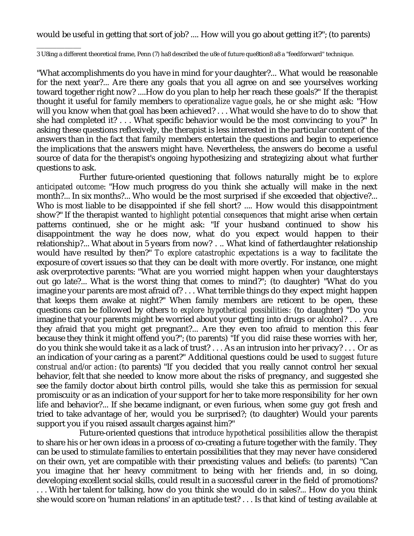would be useful in getting that sort of job? .... How will you go about getting it?"; (to parents)

3 U8ing a different theoretical frame, Penn (7) ha8 described the u8e of future que8tion8 a8 a "feedforward" technique.

 $\overline{\phantom{a}}$  , where  $\overline{\phantom{a}}$ 

"What accomplishments do you have in mind for your daughter?... What would be reasonable for the next year?... Are there any goals that you all agree on and see yourselves working toward together right now? ....How do you plan to help her reach these goals?" If the therapist thought it useful for family members *to operationalize vague goals*, he or she might ask: "How will you know when that goal has been achieved? . . . What would she have to do to show that she had completed it? . . . What specific behavior would be the most convincing to you?" In asking these questions reflexively, the therapist is less interested in the particular content of the answers than in the fact that family members entertain the questions and begin to experience the implications that the answers might have. Nevertheless, the answers do become a useful source of data for the therapist's ongoing hypothesizing and strategizing about what further questions to ask.

Further future-oriented questioning that follows naturally might be *to explore anticipated outcome*: "How much progress do you think she actually will make in the next month?... In six months?... Who would be the most surprised if she exceeded that objective?... Who is most liable to be disappointed if she fell short? .... How would this disappointment show?" If the therapist wanted *to highlight potential consequences* that might arise when certain patterns continued, she or he might ask: "If your husband continued to show his disappointment the way he does now, what do you expect would happen to their relationship?... What about in 5 years from now? . .. What kind of fatherdaughter relationship would have resulted by then?" *To explore catastrophic expectations* is a way to facilitate the exposure of covert issues so that they can be dealt with more overtly. For instance, one might ask overprotective parents: "What are you worried might happen when your daughterstays out go late?... What is the worst thing that comes to mind?"; (to daughter) "What do you imagine your parents are most afraid of? . . . What terrible things do they expect might happen that keeps them awake at night?" When family members are reticent to be open, these questions can be followed by others *to explore hypothetical possibilities*: (to daughter) "Do you imagine that your parents might be worried about your getting into drugs or alcohol? . . . Are they afraid that you might get pregnant?... Are they even too afraid to mention this fear because they think it might offend you?"; (to parents) "If you did raise these worries with her, do you think she would take it as a lack of trust? . . . As an intrusion into her privacy? . . . Or as an indication of your caring as a parent?" Additional questions could be used *to suggest future construal and/or action*: (to parents) "If you decided that you really cannot control her sexual behavior, felt that she needed to know more about the risks of pregnancy, and suggested she see the family doctor about birth control pills, would she take this as permission for sexual promiscuity or as an indication of your support for her to take more responsibility for her own life and behavior?... If she became indignant, or even furious, when some guy got fresh and tried to take advantage of her, would you be surprised?; (to daughter) Would your parents support you if you raised assault charges against him?"

Future-oriented questions that *introduce hypothetical possibilities* allow the therapist to share his or her own ideas in a process of co-creating a future together with the family. They can be used to stimulate families to entertain possibilities that they may never have considered on their own, yet are compatible with their preexisting values and beliefs: (to parents) "Can you imagine that her heavy commitment to being with her friends and, in so doing, developing excellent social skills, could result in a successful career in the field of promotions?

. . . With her talent for talking, how do you think she would do in sales?... How do you think she would score on 'human relations' in an aptitude test? . . . Is that kind of testing available at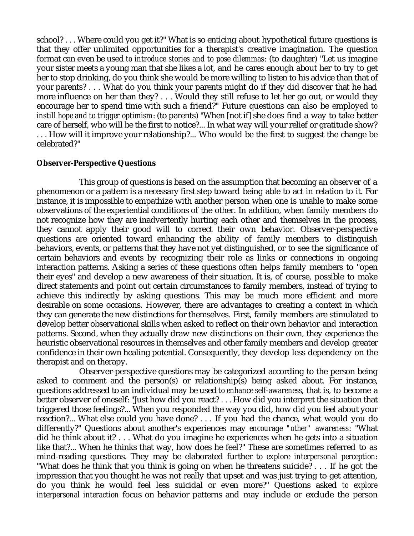school? . . . Where could you get it?" What is so enticing about hypothetical future questions is that they offer unlimited opportunities for a therapist's creative imagination. The question format can even be used *to introduce stories and to pose dilemmas*: (to daughter) "Let us imagine your sister meets a young man that she likes a lot, and he cares enough about her to try to get her to stop drinking, do you think she would be more willing to listen to his advice than that of your parents? . . . What do you think your parents might do if they did discover that he had more influence on her than they? . . . Would they still refuse to let her go out, or would they encourage her to spend time with such a friend?" Future questions can also be employed *to instill hope and to trigger optimism*: (to parents) "When [not if] she does find a way to take better care of herself, who will be the first to notice?... In what way will your relief or gratitude show? . . . How will it improve your relationship?... Who would be the first to suggest the change be celebrated?"

# **Observer-Perspective Questions**

This group of questions is based on the assumption that becoming an observer of a phenomenon or a pattern is a necessary first step toward being able to act in relation to it. For instance, it is impossible to empathize with another person when one is unable to make some observations of the experiential conditions of the other. In addition, when family members do not recognize how they are inadvertently hurting each other and themselves in the process, they cannot apply their good will to correct their own behavior. Observer-perspective questions are oriented toward enhancing the ability of family members to distinguish behaviors, events, or patterns that they have not yet distinguished, or to see the significance of certain behaviors and events by recognizing their role as links or connections in ongoing interaction patterns. Asking a series of these questions often helps family members to "open their eyes" and develop a new awareness of their situation. It is, of course, possible to make direct statements and point out certain circumstances to family members, instead of trying to achieve this indirectly by asking questions. This may be much more efficient and more desirable on some occasions. However, there are advantages to creating a context in which they can generate the new distinctions for themselves. First, family members are stimulated to develop better observational skills when asked to reflect on their own behavior and interaction patterns. Second, when they actually draw new distinctions on their own, they experience the heuristic observational resources in themselves and other family members and develop greater confidence in their own healing potential. Consequently, they develop less dependency on the therapist and on therapy.

Observer-perspective questions may be categorized according to the person being asked to comment and the person(s) or relationship(s) being asked about. For instance, questions addressed to an individual may be used *to enhance self-awareness*, that is, to become a better observer of oneself: "Just how did you react? . . . How did you interpret the situation that triggered those feelings?... When you responded the way you did, how did you feel about your reaction?... What else could you have done? . . . If you had the chance, what would you do differently?" Questions about another's experiences may *encourage "other" awareness*: "What did he think about it? . . . What do you imagine he experiences when he gets into a situation like that?... When he thinks that way, how does he feel?" These are sometimes referred to as mind-reading questions. They may be elaborated further *to explore interpersonal perception*: "What does he think that you think is going on when he threatens suicide? . . . If he got the impression that you thought he was not really that upset and was just trying to get attention, do you think he would feel less suicidal or even more?" Questions asked *to explore interpersonal interaction* focus on behavior patterns and may include or exclude the person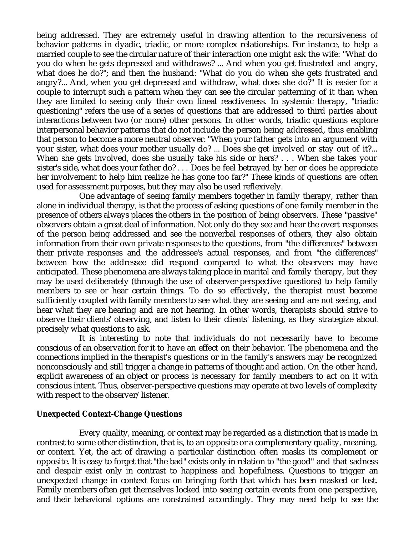being addressed. They are extremely useful in drawing attention to the recursiveness of behavior patterns in dyadic, triadic, or more complex relationships. For instance, to help a married couple to see the circular nature of their interaction one might ask the wife: "What do you do when he gets depressed and withdraws? ... And when you get frustrated and angry, what does he do?"; and then the husband: "What do you do when she gets frustrated and angry?... And, when you get depressed and withdraw, what does she do?" It is easier for a couple to interrupt such a pattern when they can see the circular patterning of it than when they are limited to seeing only their own lineal reactiveness. In systemic therapy, "triadic questioning" refers the use of a series of questions that are addressed to third parties about interactions between two (or more) other persons. In other words, triadic questions explore interpersonal behavior patterns that do not include the person being addressed, thus enabling that person to become a more neutral observer: "When your father gets into an argument with your sister, what does your mother usually do? ... Does she get involved or stay out of it?... When she gets involved, does she usually take his side or hers? . . . When she takes your sister's side, what does your father do? . . . Does he feel betrayed by her or does he appreciate her involvement to help him realize he has gone too far?" These kinds of questions are often used for assessment purposes, but they may also be used reflexively.

One advantage of seeing family members together in family therapy, rather than alone in individual therapy, is that the process of asking questions of one family member in the presence of others always places the others in the position of being observers. These "passive" observers obtain a great deal of information. Not only do they see and hear the overt responses of the person being addressed and see the nonverbal responses of others, they also obtain information from their own private responses to the questions, from "the differences" between their private responses and the addressee's actual responses, and from "the differences" between how the addressee did respond compared to what the observers may have anticipated. These phenomena are always taking place in marital and family therapy, but they may be used deliberately (through the use of observer-perspective questions) to help family members to see or hear certain things. To do so effectively, the therapist must become sufficiently coupled with family members to see what they are seeing and are not seeing, and hear what they are hearing and are not hearing. In other words, therapists should strive to observe their clients' observing, and listen to their clients' listening, as they strategize about precisely what questions to ask.

It is interesting to note that individuals do not necessarily have to become conscious of an observation for it to have an effect on their behavior. The phenomena and the connections implied in the therapist's questions or in the family's answers may be recognized nonconsciously and still trigger a change in patterns of thought and action. On the other hand, explicit awareness of an object or process is necessary for family members to act on it with conscious intent. Thus, observer-perspective questions may operate at two levels of complexity with respect to the observer/listener.

### **Unexpected Context-Change Questions**

Every quality, meaning, or context may be regarded as a distinction that is made in contrast to some other distinction, that is, to an opposite or a complementary quality, meaning, or context. Yet, the act of drawing a particular distinction often masks its complement or opposite. It is easy to forget that "the bad" exists only in relation to "the good" and that sadness and despair exist only in contrast to happiness and hopefulness. Questions to trigger an unexpected change in context focus on bringing forth that which has been masked or lost. Family members often get themselves locked into seeing certain events from one perspective, and their behavioral options are constrained accordingly. They may need help to see the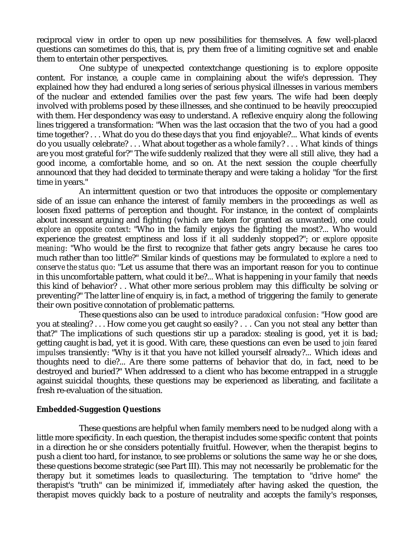reciprocal view in order to open up new possibilities for themselves. A few well-placed questions can sometimes do this, that is, pry them free of a limiting cognitive set and enable them to entertain other perspectives.

One subtype of unexpected contextchange questioning is to explore opposite content. For instance, a couple came in complaining about the wife's depression. They explained how they had endured a long series of serious physical illnesses in various members of the nuclear and extended families over the past few years. The wife had been deeply involved with problems posed by these illnesses, and she continued to be heavily preoccupied with them. Her despondency was easy to understand. A reflexive enquiry along the following lines triggered a transformation: "When was the last occasion that the two of you had a good time together? . . . What do you do these days that you find enjoyable?... What kinds of events do you usually celebrate? . . . What about together as a whole family? . . . What kinds of things are you most grateful for?" The wife suddenly realized that they were all still alive, they had a good income, a comfortable home, and so on. At the next session the couple cheerfully announced that they had decided to terminate therapy and were taking a holiday "for the first time in years."

An intermittent question or two that introduces the opposite or complementary side of an issue can enhance the interest of family members in the proceedings as well as loosen fixed patterns of perception and thought. For instance, in the context of complaints about incessant arguing and fighting (which are taken for granted as unwanted), one could *explore an opposite context*: "Who in the family enjoys the fighting the most?... Who would experience the greatest emptiness and loss if it all suddenly stopped?"; or *explore opposite meaning*: "Who would be the first to recognize that father gets angry because he cares too much rather than too little?" Similar kinds of questions may be formulated *to explore a need to conserve the status quo*: "Let us assume that there was an important reason for you to continue in this uncomfortable pattern, what could it be?... What is happening in your family that needs this kind of behavior? . . What other more serious problem may this difficulty be solving or preventing?" The latter line of enquiry is, in fact, a method of triggering the family to generate their own positive connotation of problematic patterns.

These questions also can be used *to introduce paradoxical confusion*: "How good are you at stealing? . . . How come you get caught so easily? . . . Can you not steal any better than that?" The implications of such questions stir up a paradox: stealing is good, yet it is bad; getting caught is bad, yet it is good. With care, these questions can even be used *to join feared impulses* transiently: "Why is it that you have not killed yourself already?... Which ideas and thoughts need to die?... Are there some patterns of behavior that do, in fact, need to be destroyed and buried?" When addressed to a client who has become entrapped in a struggle against suicidal thoughts, these questions may be experienced as liberating, and facilitate a fresh re-evaluation of the situation.

### **Embedded-Suggestion Questions**

These questions are helpful when family members need to be nudged along with a little more specificity. In each question, the therapist includes some specific content that points in a direction he or she considers potentially fruitful. However, when the therapist begins to push a client too hard, for instance, to see problems or solutions the same way he or she does, these questions become strategic (see Part III). This may not necessarily be problematic for the therapy but it sometimes leads to quasilecturing. The temptation to "drive home" the therapist's "truth" can be minimized if, immediately after having asked the question, the therapist moves quickly back to a posture of neutrality and accepts the family's responses,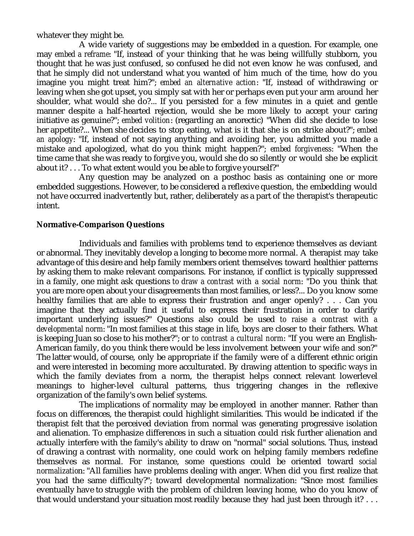whatever they might be.

A wide variety of suggestions may be embedded in a question. For example, one may *embed a reframe*: "If, instead of your thinking that he was being willfully stubborn, you thought that he was just confused, so confused he did not even know he was confused, and that he simply did not understand what you wanted of him much of the time, how do you imagine you might treat him?"; *embed an alternative action*: "If, instead of withdrawing or leaving when she got upset, you simply sat with her or perhaps even put your arm around her shoulder, what would she do?... If you persisted for a few minutes in a quiet and gentle manner despite a half-hearted rejection, would she be more likely to accept your caring initiative as genuine?"; *embed volition*: (regarding an anorectic) "When did she decide to lose her appetite?... When she decides to stop eating, what is it that she is on strike about?"; *embed an apology*: "If, instead of not saying anything and avoiding her, you admitted you made a mistake and apologized, what do you think might happen?"; *embed forgiveness*: "When the time came that she was ready to forgive you, would she do so silently or would she be explicit about it? . . . To what extent would you be able to forgive yourself?"

Any question may be analyzed on a posthoc basis as containing one or more embedded suggestions. However, to be considered a reflexive question, the embedding would not have occurred inadvertently but, rather, deliberately as a part of the therapist's therapeutic intent.

## **Normative-Comparison Questions**

Individuals and families with problems tend to experience themselves as deviant or abnormal. They inevitably develop a longing to become more normal. A therapist may take advantage of this desire and help family members orient themselves toward healthier patterns by asking them to make relevant comparisons. For instance, if conflict is typically suppressed in a family, one might ask questions *to draw a contrast with a social norm*: "Do you think that you are more open about your disagreements than most families, or less?... Do you know some healthy families that are able to express their frustration and anger openly? . . . Can you imagine that they actually find it useful to express their frustration in order to clarify important underlying issues?" Questions also could be used *to raise a contrast with a developmental norm*: "In most families at this stage in life, boys are closer to their fathers. What is keeping Juan so close to his mother?"; or *to contrast a cultural norm*: "If you were an English-American family, do you think there would be less involvement between your wife and son?" The latter would, of course, only be appropriate if the family were of a different ethnic origin and were interested in becoming more acculturated. By drawing attention to specific ways in which the family deviates from a norm, the therapist helps connect relevant lowerlevel meanings to higher-level cultural patterns, thus triggering changes in the reflexive organization of the family's own belief systems.

The implications of normality may be employed in another manner. Rather than focus on differences, the therapist could highlight similarities. This would be indicated if the therapist felt that the perceived deviation from normal was generating progressive isolation and alienation. To emphasize differences in such a situation could risk further alienation and actually interfere with the family's ability to draw on "normal" social solutions. Thus, instead of drawing a contrast with normality, one could work on helping family members redefine themselves as normal. For instance, some questions could be oriented toward *social normalizatio*n: "All families have problems dealing with anger. When did you first realize that you had the same difficulty?"; toward developmental normalization: "Since most families eventually have to struggle with the problem of children leaving home, who do you know of that would understand your situation most readily because they had just been through it? . . .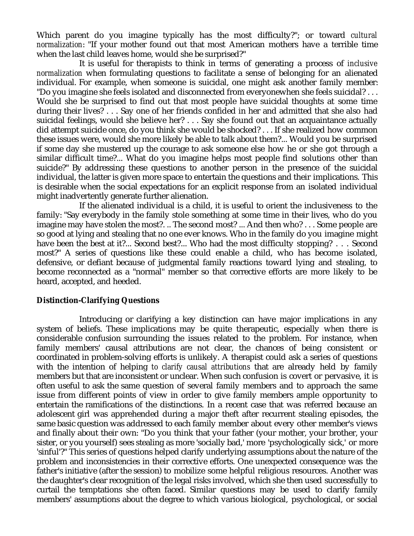Which parent do you imagine typically has the most difficulty?"; or toward *cultural normalization*: "If your mother found out that most American mothers have a terrible time when the last child leaves home, would she be surprised?"

It is useful for therapists to think in terms of generating a process of *inclusive normalization* when formulating questions to facilitate a sense of belonging for an alienated individual. For example, when someone is suicidal, one might ask another family member: "Do you imagine she feels isolated and disconnected from everyonewhen she feels suicidal? . . . Would she be surprised to find out that most people have suicidal thoughts at some time during their lives? . . . Say one of her friends confided in her and admitted that she also had suicidal feelings, would she believe her? . . . Say she found out that an acquaintance actually did attempt suicide once, do you think she would be shocked? . . . If she realized how common these issues were, would she more likely be able to talk about them?... Would you be surprised if some day she mustered up the courage to ask someone else how he or she got through a similar difficult time?... What do you imagine helps most people find solutions other than suicide?" By addressing these questions to another person in the presence of the suicidal individual, the latter is given more space to entertain the questions and their implications. This is desirable when the social expectations for an explicit response from an isolated individual might inadvertently generate further alienation.

If the alienated individual is a child, it is useful to orient the inclusiveness to the family: "Say everybody in the family stole something at some time in their lives, who do you imagine may have stolen the most?. .. The second most? ... And then who? . . . Some people are so good at lying and stealing that no one ever knows. Who in the family do you imagine might have been the best at it?... Second best?... Who had the most difficulty stopping? . . . Second most?" A series of questions like these could enable a child, who has become isolated, defensive, or defiant because of judgmental family reactions toward lying and stealing, to become reconnected as a "normal" member so that corrective efforts are more likely to be heard, accepted, and heeded.

### **Distinction-Clarifying Questions**

Introducing or clarifying a key distinction can have major implications in any system of beliefs. These implications may be quite therapeutic, especially when there is considerable confusion surrounding the issues related to the problem. For instance, when family members' causal attributions are not clear, the chances of being consistent or coordinated in problem-solving efforts is unlikely. A therapist could ask a series of questions with the intention of helping *to clarify causal attributions* that are already held by family members but that are inconsistent or unclear. When such confusion is covert or pervasive, it is often useful to ask the same question of several family members and to approach the same issue from different points of view in order to give family members ample opportunity to entertain the ramifications of the distinctions. In a recent case that was referred because an adolescent girl was apprehended during a major theft after recurrent stealing episodes, the same basic question was addressed to each family member about every other member's views and finally about their own: "Do you think that your father (your mother, your brother, your sister, or you yourself) sees stealing as more 'socially bad,' more 'psychologically sick,' or more 'sinful'?" This series of questions helped clarify underlying assumptions about the nature of the problem and inconsistencies in their corrective efforts. One unexpected consequence was the father's initiative (after the session) to mobilize some helpful religious resources. Another was the daughter's clear recognition of the legal risks involved, which she then used successfully to curtail the temptations she often faced. Similar questions may be used to clarify family members' assumptions about the degree to which various biological, psychological, or social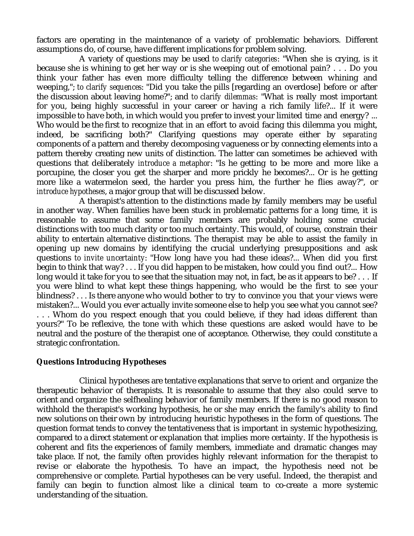factors are operating in the maintenance of a variety of problematic behaviors. Different assumptions do, of course, have different implications for problem solving.

A variety of questions may be used *to clarify categories*: "When she is crying, is it because she is whining to get her way or is she weeping out of emotional pain? . . . Do you think your father has even more difficulty telling the difference between whining and weeping,"; *to clarify sequences*: "Did you take the pills [regarding an overdose] before or after the discussion about leaving home?"; and *to clarify dilemmas*: "What is really most important for you, being highly successful in your career or having a rich family life?... If it were impossible to have both, in which would you prefer to invest your limited time and energy? ... Who would be the first to recognize that in an effort to avoid facing this dilemma you might, indeed, be sacrificing both?" Clarifying questions may operate either by *separating* components of a pattern and thereby decomposing vagueness or by connecting elements into a pattern thereby creating new units of distinction. The latter can sometimes be achieved with questions that deliberately *introduce a metaphor*: "Is he getting to be more and more like a porcupine, the closer you get the sharper and more prickly he becomes?... Or is he getting more like a watermelon seed, the harder you press him, the further he flies away?", or *introduce hypotheses*, a major group that will be discussed below.

A therapist's attention to the distinctions made by family members may be useful in another way. When families have been stuck in problematic patterns for a long time, it is reasonable to assume that some family members are probably holding some crucial distinctions with too much clarity or too much certainty. This would, of course, constrain their ability to entertain alternative distinctions. The therapist may be able to assist the family in opening up new domains by identifying the crucial underlying presuppositions and ask questions *to invite uncertainty*: "How long have you had these ideas?... When did you first begin to think that way? . . . If you did happen to be mistaken, how could you find out?... How long would it take for you to see that the situation may not, in fact, be as it appears to be? . . . If you were blind to what kept these things happening, who would be the first to see your blindness? . . . Is there anyone who would bother to try to convince you that your views were mistaken?... Would you ever actually invite someone else to help you see what you cannot see? . . . Whom do you respect enough that you could believe, if they had ideas different than yours?" To be reflexive, the tone with which these questions are asked would have to be neutral and the posture of the therapist one of acceptance. Otherwise, they could constitute a strategic confrontation.

# **Questions Introducing Hypotheses**

Clinical hypotheses are tentative explanations that serve to orient and organize the therapeutic behavior of therapists. It is reasonable to assume that they also could serve to orient and organize the selfhealing behavior of family members. If there is no good reason to withhold the therapist's working hypothesis, he or she may enrich the family's ability to find new solutions on their own by introducing heuristic hypotheses in the form of questions. The question format tends to convey the tentativeness that is important in systemic hypothesizing, compared to a direct statement or explanation that implies more certainty. If the hypothesis is coherent and fits the experiences of family members, immediate and dramatic changes may take place. If not, the family often provides highly relevant information for the therapist to revise or elaborate the hypothesis. To have an impact, the hypothesis need not be comprehensive or complete. Partial hypotheses can be very useful. Indeed, the therapist and family can begin to function almost like a clinical team to co-create a more systemic understanding of the situation.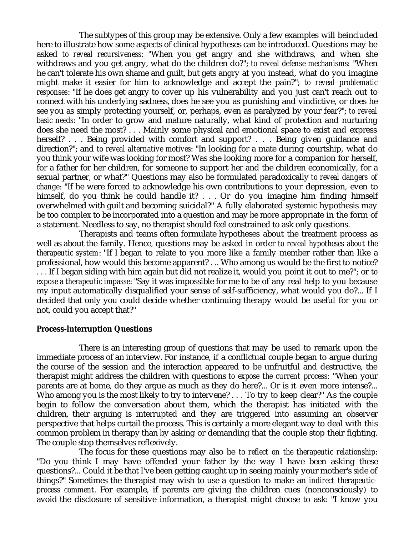The subtypes of this group may be extensive. Only a few examples will beincluded here to illustrate how some aspects of clinical hypotheses can be introduced. Questions may be asked *to reveal recursiveness*: "When you get angry and she withdraws, and when she withdraws and you get angry, what do the children do?"; *to reveal defense mechanisms*: "When he can't tolerate his own shame and guilt, but gets angry at you instead, what do you imagine might make it easier for him to acknowledge and accept the pain?"; *to reveal problematic responses*: "If he does get angry to cover up his vulnerability and you just can't reach out to connect with his underlying sadness, does he see you as punishing and vindictive, or does he see you as simply protecting yourself, or, perhaps, even as paralyzed by your fear?"; *to reveal basic needs*: "In order to grow and mature naturally, what kind of protection and nurturing does she need the most? . . . Mainly some physical and emotional space to exist and express herself? . . . Being provided with comfort and support? . . . Being given guidance and direction?"; and *to reveal alternative motives*: "In looking for a mate during courtship, what do you think your wife was looking for most? Was she looking more for a companion for herself, for a father for her children, for someone to support her and the children economically, for a sexual partner, or what?" Questions may also be formulated paradoxically *to reveal dangers of change*: "If he were forced to acknowledge his own contributions to your depression, even to himself, do you think he could handle it? . . . Or do you imagine him finding himself overwhelmed with guilt and becoming suicidal?" A fully elaborated systemic hypothesis may be too complex to be incorporated into a question and may be more appropriate in the form of a statement. Needless to say, no therapist should feel constrained to ask only questions.

Therapists and teams often formulate hypotheses about the treatment process as well as about the family. Hence, questions may be asked in order *to reveal hypotheses about the therapeutic system*: "If I began to relate to you more like a family member rather than like a professional, how would this become apparent? . .. Who among us would be the first to notice? . . . If I began siding with him again but did not realize it, would you point it out to me?"; or *to expose a therapeutic impasse*: "Say it was impossible for me to be of any real help to you because my input automatically disqualified your sense of self-sufficiency, what would you do?... If I decided that only you could decide whether continuing therapy would be useful for you or not, could you accept that?"

### **Process-lnterruption Questions**

There is an interesting group of questions that may be used to remark upon the immediate process of an interview. For instance, if a conflictual couple began to argue during the course of the session and the interaction appeared to be unfruitful and destructive, the therapist might address the children with questions *to expose the current process*: "When your parents are at home, do they argue as much as they do here?... Or is it even more intense?... Who among you is the most likely to try to intervene? . . . To try to keep clear?" As the couple begin to follow the conversation about them, which the therapist has initiated with the children, their arguing is interrupted and they are triggered into assuming an observer perspective that helps curtail the process. This is certainly a more elegant way to deal with this common problem in therapy than by asking or demanding that the couple stop their fighting. The couple stop themselves reflexively.

The focus for these questions may also be *to reflect on the therapeutic relationship*: "Do you think I may have offended your father by the way I have been asking these questions?... Could it be that I've been getting caught up in seeing mainly your mother's side of things?" Sometimes the therapist may wish to use a question to make an *indirect therapeuticprocess comment*. For example, if parents are giving the children cues (nonconsciously) to avoid the disclosure of sensitive information, a therapist might choose to ask: "I know you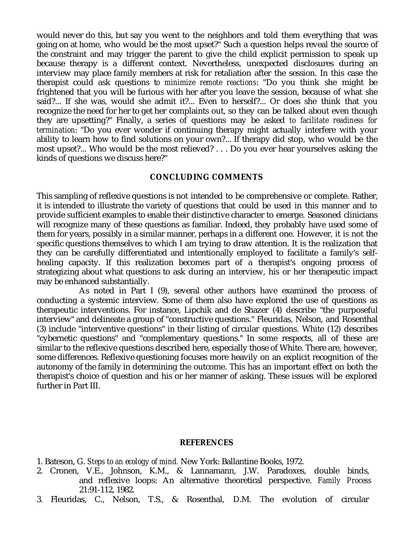would never do this, but say you went to the neighbors and told them everything that was going on at home, who would be the most upset?" Such a question helps reveal the source of the constraint and may trigger the parent to give the child explicit permission to speak up because therapy is a different context. Nevertheless, unexpected disclosures during an interview may place family members at risk for retaliation after the session. In this case the therapist could ask questions t*o minimize remote reactions*: "Do you think she might be frightened that you will be furious with her after you leave the session, because of what she said?... If she was, would she admit it?... Even to herself?... Or does she think that you recognize the need for her to get her complaints out, so they can be talked about even though they are upsetting?" Finally, a series of questions may be asked *to facilitate readiness for termination*: "Do you ever wonder if continuing therapy might actually interfere with your ability to learn how to find solutions on your own?... If therapy did stop, who would be the most upset?... Who would be the most relieved? . . . Do you ever hear yourselves asking the kinds of questions we discuss here?"

#### **CONCLUDING COMMENTS**

This sampling of reflexive questions is not intended to be comprehensive or complete. Rather, it is intended to illustrate the variety of questions that could be used in this manner and to provide sufficient examples to enable their distinctive character to emerge. Seasoned clinicians will recognize many of these questions as familiar. Indeed, they probably have used some of them for years, possibly in a similar manner, perhaps in a different one. However, it is not the specific questions themselves to which I am trying to draw attention. It is the realization that they can be carefully differentiated and intentionally employed to facilitate a family's selfhealing capacity. If this realization becomes part of a therapist's ongoing process of strategizing about what questions to ask during an interview, his or her therapeutic impact may be enhanced substantially.

As noted in Part I (9), several other authors have examined the process of conducting a systemic interview. Some of them also have explored the use of questions as therapeutic interventions. For instance, Lipchik and de Shazer (4) describe "the purposeful interview" and delineate a group of "constructive questions." Fleuridas, Nelson, and Rosenthal (3) include "interventive questions" in their listing of circular questions. White (12) describes "cybernetic questions" and "complementary questions." In some respects, all of these are similar to the reflexive questions described here, especially those of White. There are, however, some differences. Reflexive questioning focuses more heavily on an explicit recognition of the autonomy of the family in determining the outcome. This has an important effect on both the therapist's choice of question and his or her manner of asking. These issues will be explored further in Part III.

#### **REFERENCES**

- 1. Bateson, G. *Steps to an ecology of mind.* New York: Ballantine Books, 1972.
- 2. Cronen, V.E., Johnson, K.M., & Lannamann, J.W. Paradoxes, double binds, and reflexive loops: An alternative theoretical perspective. *Family Process* 21:91-112, 1982.
- 3. Fleuridas, C., Nelson, T.S., & Rosenthal, D.M. The evolution of circular